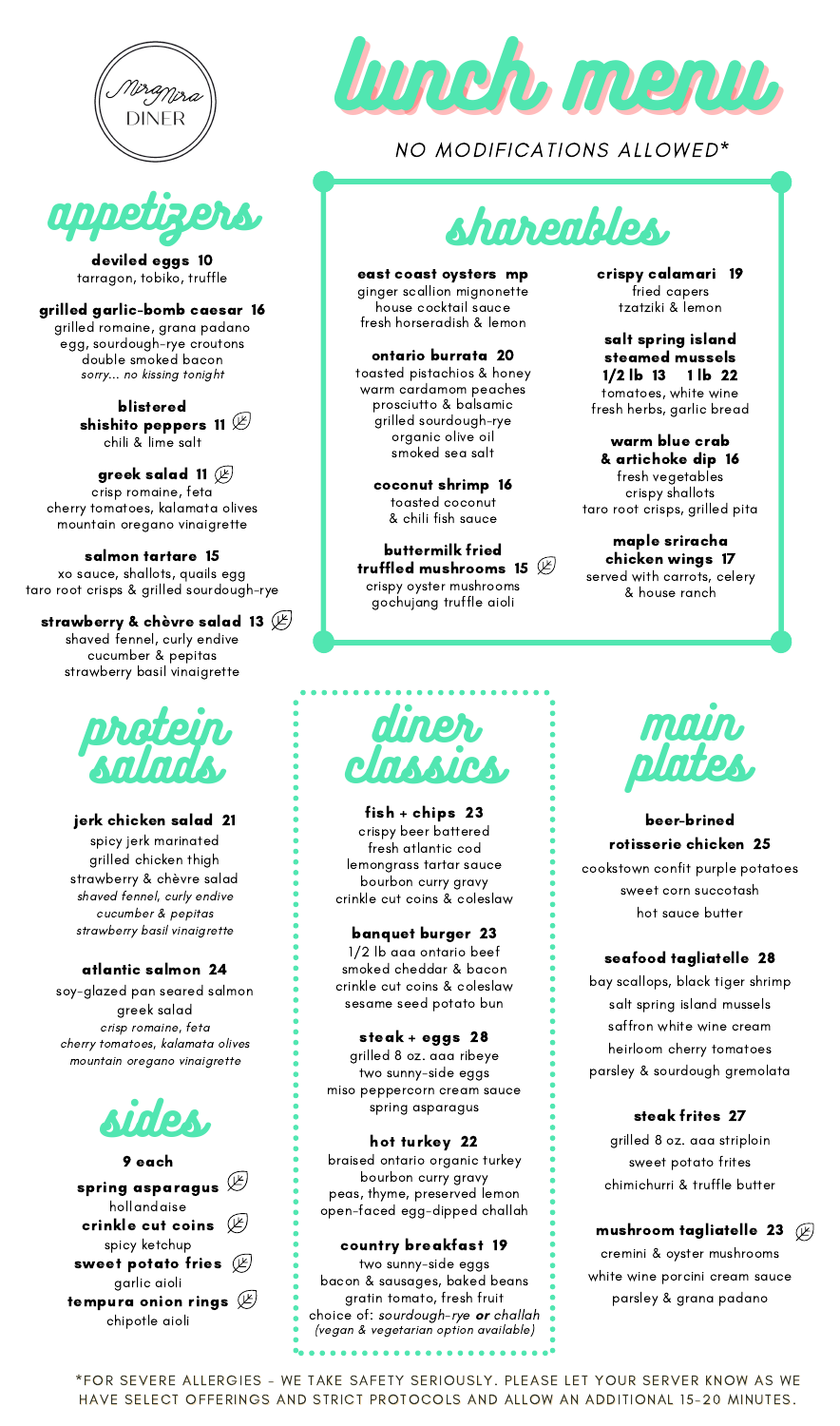



deviled eggs 10 tarragon, tobiko, truffle

grilled garlic-bomb caesar 16 grilled romaine, grana padano egg, sourdough-rye croutons double smoked bacon sorry... no kissing tonight

> blistered shishito peppers 11  $\mathbb E^1$ chili & lime salt

greek salad 11  $(\cancel{\mathbb{E}})$ crisp romaine, feta cherry tomatoes, kalamata olives mountain oregano vinaigrette

salmon tartare 15 xo sauce, shallots, quails egg taro root crisps & grilled sourdough-rye

strawberry & chèvre salad 13  $(\nvdash)$ shaved fennel, curly endive cucumber & pepitas strawberry basil vinaigrette



jerk chicken salad 21 spicy jerk marinated grilled chicken thigh strawberry & chèvre salad shaved fennel, curly endive cucumber & pepitas strawberry basil vinaigrette

#### atlantic salmon 24

soy-glazed pan seared salmon greek salad crisp romaine, feta cherry tomatoes, kalamata olives mountain oregano vinaigrette





NO MODIFICATIONS ALLOWED\*

# shareables,

east coast oysters mp ginger scallion mignonette house cocktail sauce fresh horseradish & lemon

ontario burrata 20 toasted pistachios & honey warm cardamom peaches prosciutto & balsamic grilled sourdough-rye organic olive oil smoked sea salt

> coconut shrimp 16 toasted coconut & chili fish sauce

buttermilk fried truffled mushrooms 15  $\mathscr{\mathscr{L}}$ crispy oyster mushrooms gochujang truffle aioli

crispy calamari 19 fried capers tzatziki & lemon

salt spring island steamed mussels 1/2 lb 13 1 lb 22 tomatoes, white wine fresh herbs, garlic bread

warm blue crab & artichoke dip 16 fresh vegetables crispy shallots taro root crisps, grilled pita

maple sriracha chicken wings 17 served with carrots, celery & house ranch



fish + chips 23 crispy beer battered fresh atlantic cod lemongrass tartar sauce bourbon curry gravy crinkle cut coins & coleslaw

banquet burger 23 1/2 lb aaa ontario beef smoked cheddar & bacon crinkle cut coins & coleslaw sesame seed potato bun

steak + eggs 28 grilled 8 oz. aaa ribeye two sunny-side eggs miso peppercorn cream sauce spring asparagus

hot turkey 22 braised ontario organic turkey bourbon curry gravy peas, thyme, preserved lemon open-faced egg-dipped challah

country breakfast 19 two sunny-side eggs bacon & sausages, baked beans gratin tomato, fresh fruit choice of: sourdough-rye **or** challah (vegan & vegetarian option available)



beer-brined rotisserie chicken 25 cookstown confit purple potatoes sweet corn succotash hot sauce butter

#### seafood tagliatelle 28

bay scallops, black tiger shrimp salt spring island mussels saffron white wine cream heirloom cherry tomatoes parsley & sourdough gremolata

#### steak frites 27

grilled 8 oz. aaa striploin sweet potato frites chimichurri & truffle butter

mushroom tagliatelle 23  $\mathbb{Z}$ 

cremini & oyster mushrooms white wine porcini cream sauce parsley & grana padano

\*FOR SEVERE ALLERGIES - WE TAKE SAFETY SERIOUSLY. PLEASE LET YOUR SERVER KNOW AS WE HAVE SELECT OFFERINGS AND STRICT PROTOCOLS AND ALLOW AN ADDITIONAL 15-20 MINUTES.